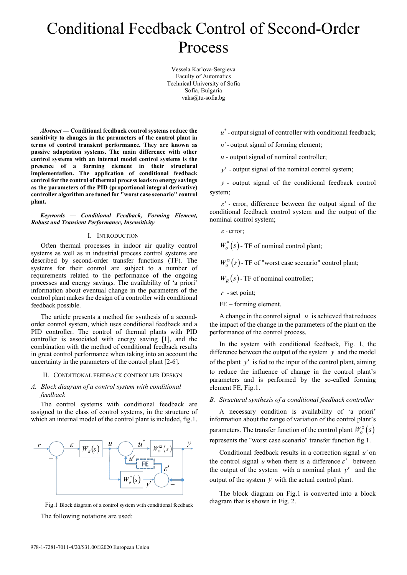# Conditional Feedback Control of Second-Order Process

Vessela Karlova-Sergieva Faculty of Automatics Technical University of Sofia Sofia, Bulgaria [vaks@tu-sofia.bg](mailto:vaks@tu-sofia.bg)

*Abstract* **— Conditional feedback control systems reduce the sensitivity to changes in the parameters of the control plant in terms of control transient performance. They are known as passive adaptation systems. The main difference with other control systems with an internal model control systems is the presence of a forming element in their structural implementation. The application of conditional feedback control for the control of thermal process leads to energy savings as the parameters of the PID (proportional integral derivative) controller algorithm are tuned for "worst case scenario" control plant.**

*Keywords — Conditional Feedback, Forming Element, Robust and Transient Performance, Insensitivity* 

#### I. INTRODUCTION

Often thermal processes in indoor air quality control systems as well as in industrial process control systems are described by second-order transfer functions (TF). The systems for their control are subject to a number of requirements related to the performance of the ongoing processes and energy savings. The availability of 'a priori' information about eventual change in the parameters of the control plant makes the design of a controller with conditional feedback possible.

The article presents a method for synthesis of a secondorder control system, which uses conditional feedback and a PID controller. The control of thermal plants with PID controller is associated with energy saving [1], and the combination with the method of conditional feedback results in great control performance when taking into an account the uncertainty in the parameters of the control plant [2-6].

#### II. CONDITIONAL FEEDBACK CONTROLLER DESIGN

### *A. Block diagram of a control system with conditional feedback*

The control systems with conditional feedback are assigned to the class of control systems, in the structure of which an internal model of the control plant is included, fig.1.





The following notations are used:

 $u^*$  - output signal of controller with conditional feedback;

*u*′ - output signal of forming element;

 $u$  - output signal of nominal controller;

*y*′ - output signal of the nominal control system;

*y* - output signal of the conditional feedback control system;

 $\varepsilon'$  - error, difference between the output signal of the conditional feedback control system and the output of the nominal control system;

 $\varepsilon$  - error;

 $W_{o}^{*}(s)$  - TF of nominal control plant;

 $W_0^{\square}(s)$  - TF of "worst case scenario" control plant;

 $W_R(s)$  - TF of nominal controller;

*r* - set point;

FE – forming element.

A change in the control signal  $u$  is achieved that reduces the impact of the change in the parameters of the plant on the performance of the control process.

In the system with conditional feedback, Fig. 1, the difference between the output of the system *y* and the model of the plant *y*′ is fed to the input of the control plant, aiming to reduce the influence of change in the control plant's parameters and is performed by the so-called forming element FE, Fig.1.

*B. Structural synthesis of a conditional feedback controller*

A necessary condition is availability of 'a priori' information about the range of variation of the control plant's parameters. The transfer function of the control plant  $W_0^{\square}(s)$ represents the "worst case scenario" transfer function fig.1.

Conditional feedback results in a correction signal *u*′ on the control signal  $u$  when there is a difference  $\varepsilon'$  between the output of the system with a nominal plant  $y'$  and the output of the system *y* with the actual control plant.

The block diagram on Fig.1 is converted into a block diagram that is shown in Fig. 2.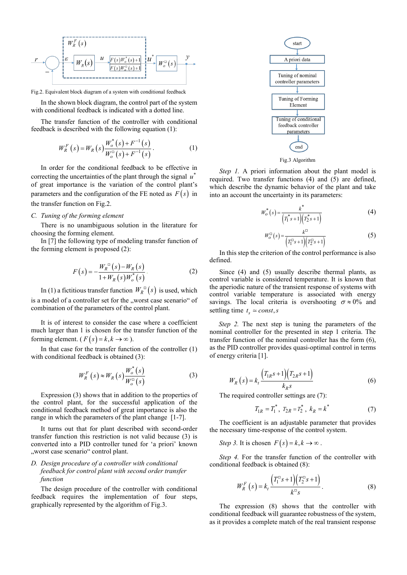

Fig.2. Equivalent block diagram of a system with conditional feedback

In the shown block diagram, the control part of the system with conditional feedback is indicated with a dotted line.

The transfer function of the controller with conditional feedback is described with the following equation (1):

$$
W_{R}^{F}(s) = W_{R}(s) \frac{W_{o}^{*}(s) + F^{-1}(s)}{W_{o}^{-}(s) + F^{-1}(s)}.
$$
 (1)

In order for the conditional feedback to be effective in correcting the uncertainties of the plant through the signal  $u^*$ of great importance is the variation of the control plant's parameters and the configuration of the FE noted as  $F(s)$  in the transfer function on Fig.2.

#### *C. Tuning of the forming element*

There is no unambiguous solution in the literature for choosing the forming element.

In [7] the following type of modeling transfer function of the forming element is proposed (2):

$$
F(s) = -\frac{W_R^{^{0}}(s) - W_R(s)}{1 + W_R(s)W_o^{*}(s)}.
$$
 (2)

In (1) a fictitious transfer function  $W_R^{\square}(s)$  is used, which is a model of a controller set for the "worst case scenario" of combination of the parameters of the control plant.

It is of interest to consider the case where a coefficient much larger than 1 is chosen for the transfer function of the forming element. ( $F(s) = k, k \rightarrow \infty$ ).

In that case for the transfer function of the controller (1) with conditional feedback is obtained (3):

$$
W_R^F\left(s\right) \approx W_R\left(s\right) \frac{W_o^*\left(s\right)}{W_o^{\square}\left(s\right)}\tag{3}
$$

Expression (3) shows that in addition to the properties of the control plant, for the successful application of the conditional feedback method of great importance is also the range in which the parameters of the plant change [1-7].

It turns out that for plant described with second-order transfer function this restriction is not valid because (3) is converted into a PID controller tuned for 'a priori' known "worst case scenario" control plant.

# *D. Design procedure of a controller with conditional feedback for control plant with second order transfer function*

The design procedure of the controller with conditional feedback requires the implementation of four steps, graphically represented by the algorithm of Fig.3.



Fig.3 Algorithm

*Step 1.* A priori information about the plant model is required. Two transfer functions (4) and (5) are defined, which describe the dynamic behavior of the plant and take into an account the uncertainty in its parameters:

$$
W_o^*(s) = \frac{k^*}{\left(T_1^*s + 1\right)\left(T_2^*s + 1\right)}
$$
(4)

$$
W_o^{\square}(s) = \frac{k^{\square}}{\left(T_1^{\square}s + 1\right)\left(T_2^{\square}s + 1\right)}
$$
\n(5)

In this step the criterion of the control performance is also defined.

Since (4) and (5) usually describe thermal plants, as control variable is considered temperature. It is known that the aperiodic nature of the transient response of systems with control variable temperature is associated with energy savings. The local criteria is overshooting  $\sigma \approx 0\%$  and settling time  $t_s \approx const, s$ 

*Step 2.* The next step is tuning the parameters of the nominal controller for the presented in step 1 criteria. The transfer function of the nominal controller has the form (6), as the PID controller provides quasi-optimal control in terms of energy criteria [1].

$$
W_R(s) = k_t \frac{\left(T_{1R}s + 1\right)\left(T_{2R}s + 1\right)}{k_R s} \tag{6}
$$

The required controller settings are (7):

$$
T_{1R} = T_1^*, \ T_{2R} = T_2^*, \ k_R = k^* \tag{7}
$$

The coefficient is an adjustable parameter that provides the necessary time-response of the control system.

*Step* 3. It is chosen  $F(s) = k, k \rightarrow \infty$ .

*Step 4.* For the transfer function of the controller with conditional feedback is obtained (8):

$$
W_R^F\left(s\right) = k_t \frac{\left(T_1^{\Box}s + 1\right)\left(T_2^{\Box}s + 1\right)}{k^{\Box}s}.
$$
 (8)

The expression (8) shows that the controller with conditional feedback will guarantee robustness of the system, as it provides a complete match of the real transient response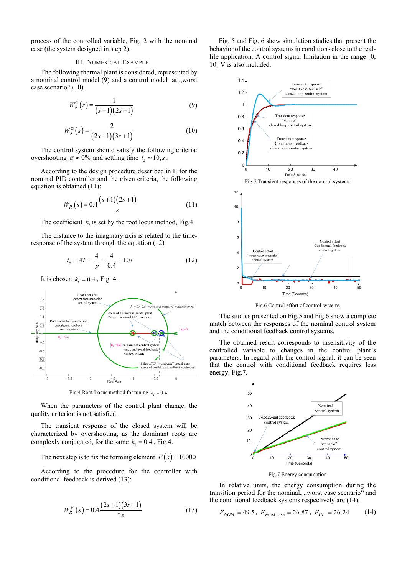process of the controlled variable, Fig. 2 with the nominal case (the system designed in step 2).

#### III. NUMERICAL EXAMPLE

The following thermal plant is considered, represented by a nominal control model (9) and a control model at "worst case scenario" (10).

$$
W_o^*(s) = \frac{1}{(s+1)(2s+1)}
$$
\n(9)

$$
W_o^{\square}(s) = \frac{2}{(2s+1)(3s+1)}
$$
(10)

The control system should satisfy the following criteria: overshooting  $\sigma \approx 0\%$  and settling time  $t_s \approx 10, s$ .

According to the design procedure described in II for the nominal PID controller and the given criteria, the following equation is obtained (11):

$$
W_R(s) = 0.4 \frac{(s+1)(2s+1)}{s} \tag{11}
$$

The coefficient  $k_t$  is set by the root locus method, Fig.4.

The distance to the imaginary axis is related to the timeresponse of the system through the equation (12):

$$
t_s \approx 4T \approx \frac{4}{p} \approx \frac{4}{0.4} = 10s
$$
 (12)

It is chosen  $k_t = 0.4$ , Fig. 4.



Fig.4 Root Locus method for tuning  $k_t = 0.4$ 

When the parameters of the control plant change, the quality criterion is not satisfied.

The transient response of the closed system will be characterized by overshooting, as the dominant roots are complexly conjugated, for the same  $k_t = 0.4$ , Fig.4.

The next step is to fix the forming element  $F(s) = 10000$ 

According to the procedure for the controller with conditional feedback is derived (13):

$$
W_R^F\left(s\right) = 0.4 \frac{\left(2s+1\right)\left(3s+1\right)}{2s} \tag{13}
$$

Fig. 5 and Fig. 6 show simulation studies that present the behavior of the control systems in conditions close to the reallife application. A control signal limitation in the range [0, 10] V is also included.



Fig.6 Control effort of control systems

The studies presented on Fig.5 and Fig.6 show a complete match between the responses of the nominal control system and the conditional feedback control systems.

The obtained result corresponds to insensitivity of the controlled variable to changes in the control plant's parameters. In regard with the control signal, it can be seen that the control with conditional feedback requires less energy, Fig.7.



Fig.7 Energy consumption

In relative units, the energy consumption during the transition period for the nominal, "worst case scenario" and the conditional feedback systems respectively are (14):

$$
E_{NOM} = 49.5 \, , \, E_{\text{worst case}} = 26.87 \, , \, E_{CF} = 26.24 \tag{14}
$$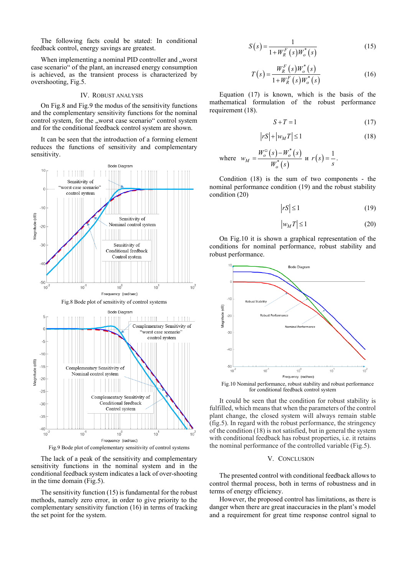The following facts could be stated: In conditional feedback control, energy savings are greatest.

When implementing a nominal PID controller and "worst case scenario" of the plant, an increased energy consumption is achieved, as the transient process is characterized by overshooting, Fig.5.

#### IV. ROBUST ANALYSIS

On Fig.8 and Fig.9 the modus of the sensitivity functions and the complementary sensitivity functions for the nominal control system, for the "worst case scenario" control system and for the conditional feedback control system are shown.

It can be seen that the introduction of a forming element reduces the functions of sensitivity and complementary sensitivity.



Fig.9 Bode plot of complementary sensitivity of control systems

The lack of a peak of the sensitivity and complementary sensitivity functions in the nominal system and in the conditional feedback system indicates a lack of over-shooting in the time domain (Fig.5).

The sensitivity function (15) is fundamental for the robust methods, namely zero error, in order to give priority to the complementary sensitivity function (16) in terms of tracking the set point for the system.

$$
S(s) = \frac{1}{1 + W_K^F(s)W_o^*(s)}
$$
(15)

$$
T(s) = \frac{W_R^F(s)W_o^*(s)}{1 + W_R^F(s)W_o^*(s)}
$$
(16)

Equation (17) is known, which is the basis of the mathematical formulation of the robust performance requirement (18).

$$
S + T = 1 \tag{17}
$$

$$
\left| rS \right| + \left| w_M T \right| \le 1 \tag{18}
$$

where 
$$
w_M = \frac{W_o^{\square}(s) - W_o^*(s)}{W_o^*(s)}
$$
 if  $r(s) = \frac{1}{s}$ .

Condition (18) is the sum of two components - the nominal performance condition (19) and the robust stability condition (20)

$$
|rS| \le 1\tag{19}
$$

$$
\left| w_M T \right| \le 1 \tag{20}
$$

On Fig.10 it is shown a graphical representation of the conditions for nominal performance, robust stability and robust performance.



for conditional feedback control system

It could be seen that the condition for robust stability is fulfilled, which means that when the parameters of the control plant change, the closed system will always remain stable (fig.5). In regard with the robust performance, the stringency of the condition (18) is not satisfied, but in general the system with conditional feedback has robust properties, i.e. it retains the nominal performance of the controlled variable (Fig.5).

# V. CONCLUSION

The presented control with conditional feedback allows to control thermal process, both in terms of robustness and in terms of energy efficiency.

However, the proposed control has limitations, as there is danger when there are great inaccuracies in the plant's model and a requirement for great time response control signal to